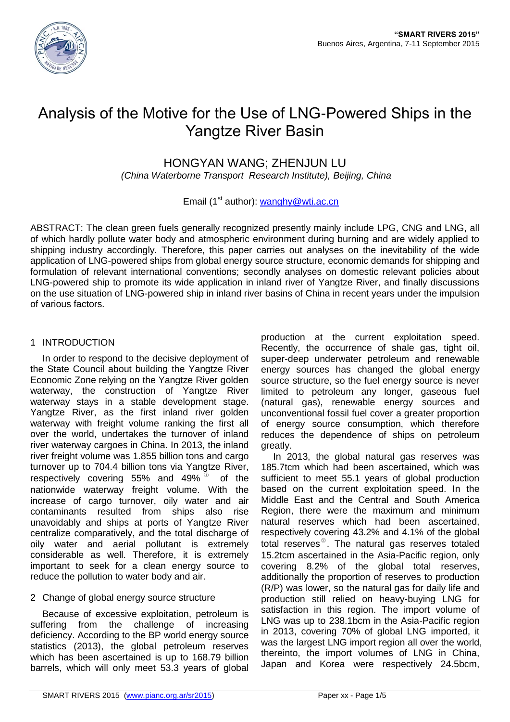

# Analysis of the Motive for the Use of LNG-Powered Ships in the Yangtze River Basin

HONGYAN WANG; ZHENJUN LU

*(China Waterborne Transport Research Institute), Beijing, China*

## Email ( $1<sup>st</sup>$  author): wanghy@wti.ac.cn

ABSTRACT: The clean green fuels generally recognized presently mainly include LPG, CNG and LNG, all of which hardly pollute water body and atmospheric environment during burning and are widely applied to shipping industry accordingly. Therefore, this paper carries out analyses on the inevitability of the wide application of LNG-powered ships from global energy source structure, economic demands for shipping and formulation of relevant international conventions; secondly analyses on domestic relevant policies about LNG-powered ship to promote its wide application in inland river of Yangtze River, and finally discussions on the use situation of LNG-powered ship in inland river basins of China in recent years under the impulsion of various factors.

## 1 INTRODUCTION

In order to respond to the decisive deployment of the State Council about building the Yangtze River Economic Zone relying on the Yangtze River golden waterway, the construction of Yangtze River waterway stays in a stable development stage. Yangtze River, as the first inland river golden waterway with freight volume ranking the first all over the world, undertakes the turnover of inland river waterway cargoes in China. In 2013, the inland river freight volume was 1.855 billion tons and cargo turnover up to 704.4 billion tons via Yangtze River, respectively covering 55% and 49%  $^{\circ}$ of the nationwide waterway freight volume. With the increase of cargo turnover, oily water and air contaminants resulted from ships also rise unavoidably and ships at ports of Yangtze River centralize comparatively, and the total discharge of oily water and aerial pollutant is extremely considerable as well. Therefore, it is extremely important to seek for a clean energy source to reduce the pollution to water body and air.

# 2 Change of global energy source structure

Because of excessive exploitation, petroleum is suffering from the challenge of increasing deficiency. According to the BP world energy source statistics (2013), the global petroleum reserves which has been ascertained is up to 168.79 billion barrels, which will only meet 53.3 years of global

production at the current exploitation speed. Recently, the occurrence of shale gas, tight oil, super-deep underwater petroleum and renewable energy sources has changed the global energy source structure, so the fuel energy source is never limited to petroleum any longer, gaseous fuel (natural gas), renewable energy sources and unconventional fossil fuel cover a greater proportion of energy source consumption, which therefore reduces the dependence of ships on petroleum greatly.

In 2013, the global natural gas reserves was 185.7tcm which had been ascertained, which was sufficient to meet 55.1 years of global production based on the current exploitation speed. In the Middle East and the Central and South America Region, there were the maximum and minimum natural reserves which had been ascertained, respectively covering 43.2% and 4.1% of the global total reserves $^{\circ}$ . The natural gas reserves totaled 15.2tcm ascertained in the Asia-Pacific region, only covering 8.2% of the global total reserves, additionally the proportion of reserves to production (R/P) was lower, so the natural gas for daily life and production still relied on heavy-buying LNG for satisfaction in this region. The import volume of LNG was up to 238.1bcm in the Asia-Pacific region in 2013, covering 70% of global LNG imported, it was the largest LNG import region all over the world, thereinto, the import volumes of LNG in China, Japan and Korea were respectively 24.5bcm,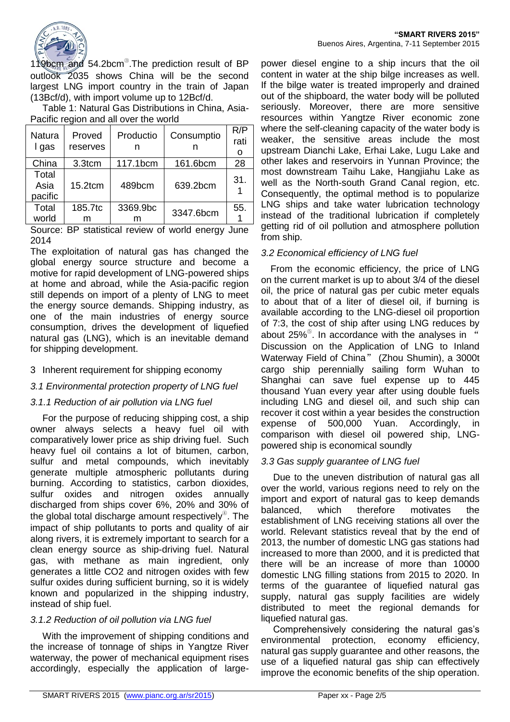

119bcm and 54.2bcm<sup>®</sup>. The prediction result of BP outlook 2035 shows China will be the second largest LNG import country in the train of Japan (13Bcf/d), with import volume up to 12Bcf/d.

Table 1: Natural Gas Distributions in China, Asia-Pacific region and all over the world

| Natura<br>I gas          | Proved<br>reserves | Productio<br>n | Consumptio | R/P<br>rati<br>O |
|--------------------------|--------------------|----------------|------------|------------------|
| China                    | 3.3tcm             | 117.1bcm       | 161.6bcm   | 28               |
| Total<br>Asia<br>pacific | $15.2$ tcm         | 489bcm         | 639.2bcm   | 31.              |
| Total<br>world           | 185.7tc<br>m       | 3369.9bc<br>m  | 3347.6bcm  | 55.              |

Source: BP statistical review of world energy June 2014

The exploitation of natural gas has changed the global energy source structure and become a motive for rapid development of LNG-powered ships at home and abroad, while the Asia-pacific region still depends on import of a plenty of LNG to meet the energy source demands. Shipping industry, as one of the main industries of energy source consumption, drives the development of liquefied natural gas (LNG), which is an inevitable demand for shipping development.

#### 3 Inherent requirement for shipping economy

#### *3.1 Environmental protection property of LNG fuel*

#### *3.1.1 Reduction of air pollution via LNG fuel*

For the purpose of reducing shipping cost, a ship owner always selects a heavy fuel oil with comparatively lower price as ship driving fuel. Such heavy fuel oil contains a lot of bitumen, carbon, sulfur and metal compounds, which inevitably generate multiple atmospheric pollutants during burning. According to statistics, carbon dioxides, sulfur oxides and nitrogen oxides annually discharged from ships cover 6%, 20% and 30% of the global total discharge amount respectively<sup>®</sup>. The impact of ship pollutants to ports and quality of air along rivers, it is extremely important to search for a clean energy source as ship-driving fuel. Natural gas, with methane as main ingredient, only generates a little CO2 and nitrogen oxides with few sulfur oxides during sufficient burning, so it is widely known and popularized in the shipping industry, instead of ship fuel.

# *3.1.2 Reduction of oil pollution via LNG fuel*

With the improvement of shipping conditions and the increase of tonnage of ships in Yangtze River waterway, the power of mechanical equipment rises accordingly, especially the application of large-

power diesel engine to a ship incurs that the oil content in water at the ship bilge increases as well. If the bilge water is treated improperly and drained out of the shipboard, the water body will be polluted seriously. Moreover, there are more sensitive resources within Yangtze River economic zone where the self-cleaning capacity of the water body is weaker, the sensitive areas include the most upstream Dianchi Lake, Erhai Lake, Lugu Lake and other lakes and reservoirs in Yunnan Province; the most downstream Taihu Lake, Hangjiahu Lake as well as the North-south Grand Canal region, etc. Consequently, the optimal method is to popularize LNG ships and take water lubrication technology instead of the traditional lubrication if completely getting rid of oil pollution and atmosphere pollution from ship.

#### *3.2 Economical efficiency of LNG fuel*

From the economic efficiency, the price of LNG on the current market is up to about 3/4 of the diesel oil, the price of natural gas per cubic meter equals to about that of a liter of diesel oil, if burning is available according to the LNG-diesel oil proportion of 7:3, the cost of ship after using LNG reduces by about 25%<sup>®</sup>. In accordance with the analyses in " Discussion on the Application of LNG to Inland Waterway Field of China" (Zhou Shumin), a 3000t cargo ship perennially sailing form Wuhan to Shanghai can save fuel expense up to 445 thousand Yuan every year after using double fuels including LNG and diesel oil, and such ship can recover it cost within a year besides the construction expense of 500,000 Yuan. Accordingly, in comparison with diesel oil powered ship, LNGpowered ship is economical soundly

#### *3.3 Gas supply guarantee of LNG fuel*

Due to the uneven distribution of natural gas all over the world, various regions need to rely on the import and export of natural gas to keep demands balanced, which therefore motivates the establishment of LNG receiving stations all over the world. Relevant statistics reveal that by the end of 2013, the number of domestic LNG gas stations had increased to more than 2000, and it is predicted that there will be an increase of more than 10000 domestic LNG filling stations from 2015 to 2020. In terms of the guarantee of liquefied natural gas supply, natural gas supply facilities are widely distributed to meet the regional demands for liquefied natural gas.

Comprehensively considering the natural gas's environmental protection, economy efficiency, natural gas supply guarantee and other reasons, the use of a liquefied natural gas ship can effectively improve the economic benefits of the ship operation.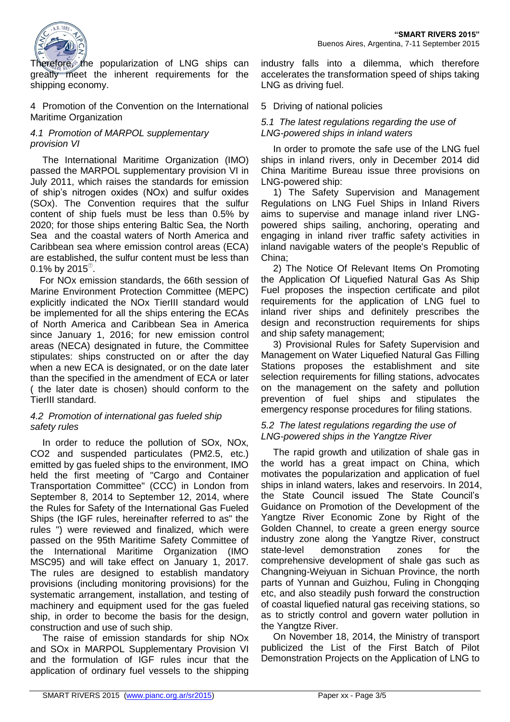

Therefore, the popularization of LNG ships can greatly meet the inherent requirements for the shipping economy.

4 Promotion of the Convention on the International Maritime Organization

## *4.1 Promotion of MARPOL supplementary provision VI*

The International Maritime Organization (IMO) passed the MARPOL supplementary provision VI in July 2011, which raises the standards for emission of ship's nitrogen oxides (NOx) and sulfur oxides (SOx). The Convention requires that the sulfur content of ship fuels must be less than 0.5% by 2020; for those ships entering Baltic Sea, the North Sea and the coastal waters of North America and Caribbean sea where emission control areas (ECA) are established, the sulfur content must be less than 0.1% by 2015 $^\circ$ .

For NOx emission standards, the 66th session of Marine Environment Protection Committee (MEPC) explicitly indicated the NOx TierIII standard would be implemented for all the ships entering the ECAs of North America and Caribbean Sea in America since January 1, 2016; for new emission control areas (NECA) designated in future, the Committee stipulates: ships constructed on or after the day when a new ECA is designated, or on the date later than the specified in the amendment of ECA or later ( the later date is chosen) should conform to the TierIII standard.

#### *4.2 Promotion of international gas fueled ship safety rules*

In order to reduce the pollution of SOx, NOx, CO2 and suspended particulates (PM2.5, etc.) emitted by gas fueled ships to the environment, IMO held the first meeting of "Cargo and Container Transportation Committee" (CCC) in London from September 8, 2014 to September 12, 2014, where the Rules for Safety of the International Gas Fueled Ships (the IGF rules, hereinafter referred to as" the rules ") were reviewed and finalized, which were passed on the 95th Maritime Safety Committee of the International Maritime Organization (IMO MSC95) and will take effect on January 1, 2017. The rules are designed to establish mandatory provisions (including monitoring provisions) for the systematic arrangement, installation, and testing of machinery and equipment used for the gas fueled ship, in order to become the basis for the design, construction and use of such ship.

The raise of emission standards for ship NOx and SOx in MARPOL Supplementary Provision VI and the formulation of IGF rules incur that the application of ordinary fuel vessels to the shipping

industry falls into a dilemma, which therefore accelerates the transformation speed of ships taking LNG as driving fuel.

#### 5 Driving of national policies

#### *5.1 The latest regulations regarding the use of LNG-powered ships in inland waters*

In order to promote the safe use of the LNG fuel ships in inland rivers, only in December 2014 did China Maritime Bureau issue three provisions on LNG-powered ship:

1) The Safety Supervision and Management Regulations on LNG Fuel Ships in Inland Rivers aims to supervise and manage inland river LNGpowered ships sailing, anchoring, operating and engaging in inland river traffic safety activities in inland navigable waters of the people's Republic of China;

2) The Notice Of Relevant Items On Promoting the Application Of Liquefied Natural Gas As Ship Fuel proposes the inspection certificate and pilot requirements for the application of LNG fuel to inland river ships and definitely prescribes the design and reconstruction requirements for ships and ship safety management;

3) Provisional Rules for Safety Supervision and Management on Water Liquefied Natural Gas Filling Stations proposes the establishment and site selection requirements for filling stations, advocates on the management on the safety and pollution prevention of fuel ships and stipulates the emergency response procedures for filing stations.

## *5.2 The latest regulations regarding the use of LNG-powered ships in the Yangtze River*

The rapid growth and utilization of shale gas in the world has a great impact on China, which motivates the popularization and application of fuel ships in inland waters, lakes and reservoirs. In 2014, the State Council issued The State Council's Guidance on Promotion of the Development of the Yangtze River Economic Zone by Right of the Golden Channel, to create a green energy source industry zone along the Yangtze River, construct state-level demonstration zones for the comprehensive development of shale gas such as Changning-Weiyuan in Sichuan Province, the north parts of Yunnan and Guizhou, Fuling in Chongqing etc, and also steadily push forward the construction of coastal liquefied natural gas receiving stations, so as to strictly control and govern water pollution in the Yangtze River.

On November 18, 2014, the Ministry of transport publicized the List of the First Batch of Pilot Demonstration Projects on the Application of LNG to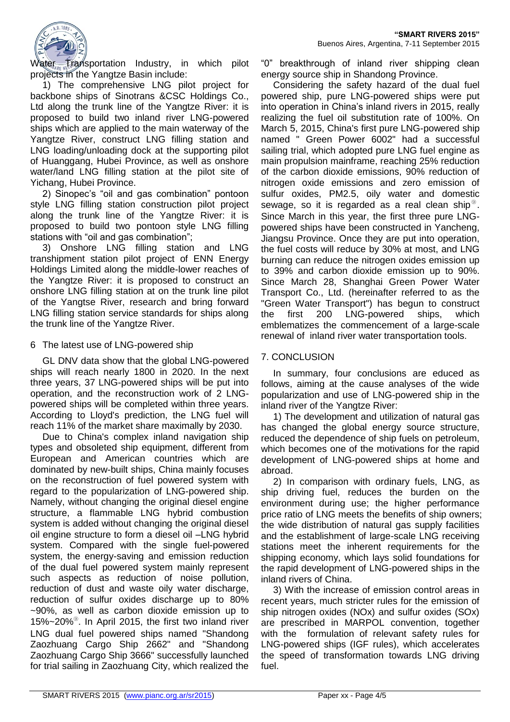

Water Transportation Industry, in which pilot projects in the Yangtze Basin include:

1) The comprehensive LNG pilot project for backbone ships of Sinotrans &CSC Holdings Co., Ltd along the trunk line of the Yangtze River: it is proposed to build two inland river LNG-powered ships which are applied to the main waterway of the Yangtze River, construct LNG filling station and LNG loading/unloading dock at the supporting pilot of Huanggang, Hubei Province, as well as onshore water/land LNG filling station at the pilot site of Yichang, Hubei Province.

2) Sinopec's "oil and gas combination" pontoon style LNG filling station construction pilot project along the trunk line of the Yangtze River: it is proposed to build two pontoon style LNG filling stations with "oil and gas combination";

3) Onshore LNG filling station and LNG transhipment station pilot project of ENN Energy Holdings Limited along the middle-lower reaches of the Yangtze River: it is proposed to construct an onshore LNG filling station at on the trunk line pilot of the Yangtse River, research and bring forward LNG filling station service standards for ships along the trunk line of the Yangtze River.

#### 6 The latest use of LNG-powered ship

GL DNV data show that the global LNG-powered ships will reach nearly 1800 in 2020. In the next three years, 37 LNG-powered ships will be put into operation, and the reconstruction work of 2 LNGpowered ships will be completed within three years. According to Lloyd's prediction, the LNG fuel will reach 11% of the market share maximally by 2030.

Due to China's complex inland navigation ship types and obsoleted ship equipment, different from European and American countries which are dominated by new-built ships, China mainly focuses on the reconstruction of fuel powered system with regard to the popularization of LNG-powered ship. Namely, without changing the original diesel engine structure, a flammable LNG hybrid combustion system is added without changing the original diesel oil engine structure to form a diesel oil –LNG hybrid system. Compared with the single fuel-powered system, the energy-saving and emission reduction of the dual fuel powered system mainly represent such aspects as reduction of noise pollution, reduction of dust and waste oily water discharge, reduction of sulfur oxides discharge up to 80% ~90%, as well as carbon dioxide emission up to 15%~20%<sup>⑨</sup> . In April 2015, the first two inland river LNG dual fuel powered ships named "Shandong Zaozhuang Cargo Ship 2662" and "Shandong Zaozhuang Cargo Ship 3666" successfully launched for trial sailing in Zaozhuang City, which realized the

"0" breakthrough of inland river shipping clean energy source ship in Shandong Province.

Considering the safety hazard of the dual fuel powered ship, pure LNG-powered ships were put into operation in China's inland rivers in 2015, really realizing the fuel oil substitution rate of 100%. On March 5, 2015, China's first pure LNG-powered ship named " Green Power 6002" had a successful sailing trial, which adopted pure LNG fuel engine as main propulsion mainframe, reaching 25% reduction of the carbon dioxide emissions, 90% reduction of nitrogen oxide emissions and zero emission of sulfur oxides, PM2.5, oily water and domestic sewage, so it is regarded as a real clean ship $^{\circledcirc}$ . Since March in this year, the first three pure LNGpowered ships have been constructed in Yancheng, Jiangsu Province. Once they are put into operation, the fuel costs will reduce by 30% at most, and LNG burning can reduce the nitrogen oxides emission up to 39% and carbon dioxide emission up to 90%. Since March 28, Shanghai Green Power Water Transport Co., Ltd. (hereinafter referred to as the "Green Water Transport") has begun to construct the first 200 LNG-powered ships, which emblematizes the commencement of a large-scale renewal of inland river water transportation tools.

# 7. CONCLUSION

In summary, four conclusions are educed as follows, aiming at the cause analyses of the wide popularization and use of LNG-powered ship in the inland river of the Yangtze River:

1) The development and utilization of natural gas has changed the global energy source structure, reduced the dependence of ship fuels on petroleum, which becomes one of the motivations for the rapid development of LNG-powered ships at home and abroad.

2) In comparison with ordinary fuels, LNG, as ship driving fuel, reduces the burden on the environment during use; the higher performance price ratio of LNG meets the benefits of ship owners; the wide distribution of natural gas supply facilities and the establishment of large-scale LNG receiving stations meet the inherent requirements for the shipping economy, which lays solid foundations for the rapid development of LNG-powered ships in the inland rivers of China.

3) With the increase of emission control areas in recent years, much stricter rules for the emission of ship nitrogen oxides (NOx) and sulfur oxides (SOx) are prescribed in MARPOL convention, together with the formulation of relevant safety rules for LNG-powered ships (IGF rules), which accelerates the speed of transformation towards LNG driving fuel.